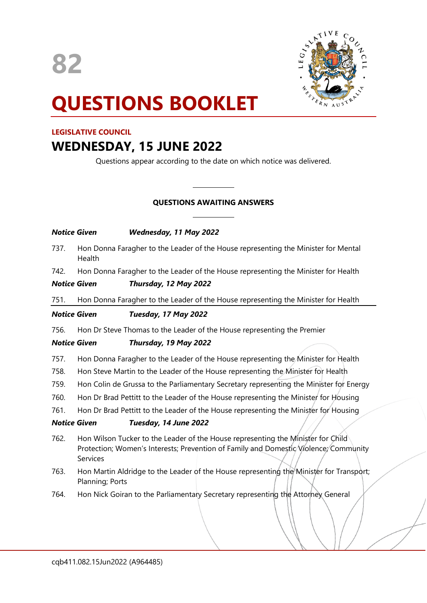

# **QUESTIONS BOOKLET**

# **LEGISLATIVE COUNCIL**

# **WEDNESDAY, 15 JUNE 2022**

Questions appear according to the date on which notice was delivered.

# **QUESTIONS AWAITING ANSWERS**

 $\overline{\phantom{a}}$ 

 $\overline{\phantom{a}}$ 

| <b>Notice Given</b> |                                                                                                                                                                                      | Wednesday, 11 May 2022                                                             |
|---------------------|--------------------------------------------------------------------------------------------------------------------------------------------------------------------------------------|------------------------------------------------------------------------------------|
| 737.                | Hon Donna Faragher to the Leader of the House representing the Minister for Mental<br>Health                                                                                         |                                                                                    |
| 742.                |                                                                                                                                                                                      | Hon Donna Faragher to the Leader of the House representing the Minister for Health |
| <b>Notice Given</b> |                                                                                                                                                                                      | Thursday, 12 May 2022                                                              |
| 751.                |                                                                                                                                                                                      | Hon Donna Faragher to the Leader of the House representing the Minister for Health |
| <b>Notice Given</b> |                                                                                                                                                                                      | Tuesday, 17 May 2022                                                               |
| 756.                | Hon Dr Steve Thomas to the Leader of the House representing the Premier                                                                                                              |                                                                                    |
| <b>Notice Given</b> |                                                                                                                                                                                      | Thursday, 19 May 2022                                                              |
| 757.                | Hon Donna Faragher to the Leader of the House representing the Minister for Health                                                                                                   |                                                                                    |
| 758.                | Hon Steve Martin to the Leader of the House representing the Minister for Health                                                                                                     |                                                                                    |
| 759.                | Hon Colin de Grussa to the Parliamentary Secretary representing the Minister for Energy                                                                                              |                                                                                    |
| 760.                | Hon Dr Brad Pettitt to the Leader of the House representing the Minister for Housing                                                                                                 |                                                                                    |
| 761.                | Hon Dr Brad Pettitt to the Leader of the House representing the Minister for Housing                                                                                                 |                                                                                    |
| <b>Notice Given</b> |                                                                                                                                                                                      | Tuesday, 14 June 2022                                                              |
| 762.                | Hon Wilson Tucker to the Leader of the House representing the Minister for Child<br>Protection; Women's Interests; Prevention of Family and Domestic/Violence; Community<br>Services |                                                                                    |
| 763.                | Hon Martin Aldridge to the Leader of the House representing the Minister for Transport;<br>Planning; Ports                                                                           |                                                                                    |
| 764.                |                                                                                                                                                                                      | Hon Nick Goiran to the Parliamentary Secretary representing the Attorney General   |